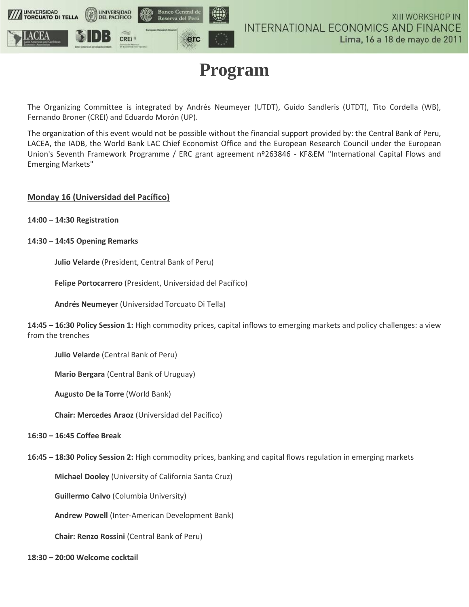

# **Program**

The Organizing Committee is integrated by Andrés Neumeyer (UTDT), Guido Sandleris (UTDT), Tito Cordella (WB), Fernando Broner (CREI) and Eduardo Morón (UP).

The organization of this event would not be possible without the financial support provided by: the Central Bank of Peru, LACEA, the IADB, the World Bank LAC Chief Economist Office and the European Research Council under the European Union's Seventh Framework Programme / ERC grant agreement nº263846 - KF&EM "International Capital Flows and Emerging Markets"

# **Monday 16 (Universidad del Pacífico)**

- **14:00 – 14:30 Registration**
- **14:30 – 14:45 Opening Remarks**

**Julio Velarde** (President, Central Bank of Peru)

**Felipe Portocarrero** (President, Universidad del Pacífico)

**Andrés Neumeyer** (Universidad Torcuato Di Tella)

**14:45 – 16:30 Policy Session 1:** High commodity prices, capital inflows to emerging markets and policy challenges: a view from the trenches

**Julio Velarde** (Central Bank of Peru)

**Mario Bergara** (Central Bank of Uruguay)

**Augusto De la Torre** (World Bank)

**Chair: Mercedes Araoz** (Universidad del Pacífico)

#### **16:30 – 16:45 Coffee Break**

**16:45 – 18:30 Policy Session 2:** High commodity prices, banking and capital flows regulation in emerging markets

**Michael Dooley** (University of California Santa Cruz)

**Guillermo Calvo** (Columbia University)

**Andrew Powell** (Inter-American Development Bank)

**Chair: Renzo Rossini** (Central Bank of Peru)

#### **18:30 – 20:00 Welcome cocktail**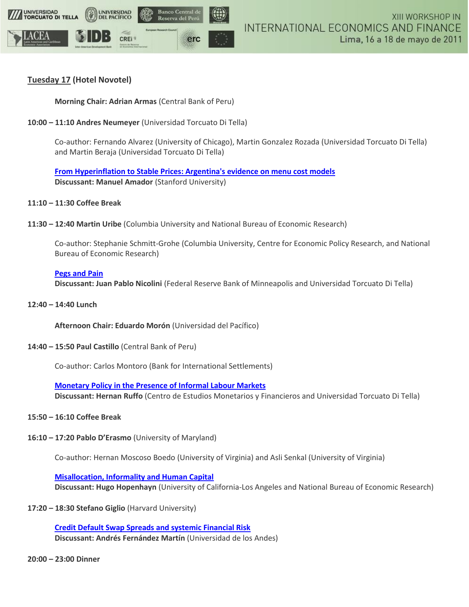

# **Tuesday 17 (Hotel Novotel)**

**Morning Chair: Adrian Armas** (Central Bank of Peru)

**10:00 – 11:10 Andres Neumeyer** (Universidad Torcuato Di Tella)

Co-author: Fernando Alvarez (University of Chicago), Martin Gonzalez Rozada (Universidad Torcuato Di Tella) and Martin Beraja (Universidad Torcuato Di Tella)

**[From Hyperinflation to Stable Prices: Argentina's evidence on menu cost models](http://dl.dropbox.com/u/499791/papers/prices_argentina.pdf) Discussant: Manuel Amador** (Stanford University)

- **11:10 – 11:30 Coffee Break**
- **11:30 – 12:40 Martin Uribe** (Columbia University and National Bureau of Economic Research)

Co-author: Stephanie Schmitt-Grohe (Columbia University, Centre for Economic Policy Research, and National Bureau of Economic Research)

# **[Pegs and Pain](https://docs.google.com/a/utdt.edu/viewer?a=v&pid=explorer&chrome=true&srcid=0ByXCexra3xttNmI2OGJkYjMtZGI1MS00NTY0LWI5ZTYtYWFlZmQyMTVmNjUy&hl=en)**

**Discussant: Juan Pablo Nicolini** (Federal Reserve Bank of Minneapolis and Universidad Torcuato Di Tella)

**12:40 – 14:40 Lunch**

**Afternoon Chair: Eduardo Morón** (Universidad del Pacífico)

**14:40 – 15:50 Paul Castillo** (Central Bank of Peru)

Co-author: Carlos Montoro (Bank for International Settlements)

**[Monetary Policy in the Presence of Informal Labour Markets](https://docs.google.com/a/utdt.edu/viewer?a=v&pid=explorer&chrome=true&srcid=0ByXCexra3xttYTkzOTE4NWQtZTdjNi00YTBlLTgzNzAtMWRhZTk0MTMwZjQz&hl=en) Discussant: Hernan Ruffo** (Centro de Estudios Monetarios y Financieros and Universidad Torcuato Di Tella)

- **15:50 – 16:10 Coffee Break**
- **16:10 – 17:20 Pablo D'Erasmo** (University of Maryland)

Co-author: Hernan Moscoso Boedo (University of Virginia) and Asli Senkal (University of Virginia)

**[Misallocation, Informality and Human Capital](https://docs.google.com/a/utdt.edu/viewer?a=v&pid=explorer&chrome=true&srcid=0ByXCexra3xttYjU2YjM0MmQtNWY1Ny00NjJiLWFhZjMtZDQ1YmZjMjc5MzNj&hl=en)**

**Discussant: Hugo Hopenhayn** (University of California-Los Angeles and National Bureau of Economic Research)

**17:20 – 18:30 Stefano Giglio** (Harvard University)

**[Credit Default Swap Spreads and systemic Financial Risk](https://docs.google.com/a/utdt.edu/viewer?a=v&pid=explorer&chrome=true&srcid=0ByXCexra3xttMTM0NDA3MzUtMDg4NS00YmU3LWFjNGYtNjFkNzVmODMyMzRm&hl=en) Discussant: Andrés Fernández Martín** (Universidad de los Andes)

**20:00 – 23:00 Dinner**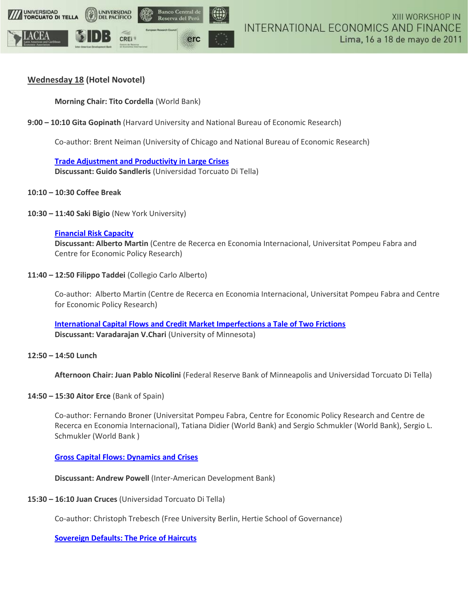

# **Wednesday 18 (Hotel Novotel)**

**Morning Chair: Tito Cordella** (World Bank)

**9:00 – 10:10 Gita Gopinath** (Harvard University and National Bureau of Economic Research)

Co-author: Brent Neiman (University of Chicago and National Bureau of Economic Research)

**[Trade Adjustment and Productivity in Large Crises](https://docs.google.com/a/utdt.edu/viewer?a=v&pid=explorer&chrome=true&srcid=0ByXCexra3xttNGVlYjQ2N2QtZWU1YS00N2Y4LWFiZDItYTE1ZThlNTQ3NGRl&hl=en) Discussant: Guido Sandleris** (Universidad Torcuato Di Tella)

# **10:10 – 10:30 Coffee Break**

**10:30 – 11:40 Saki Bigio** (New York University)

#### **[Financial Risk Capacity](https://docs.google.com/a/utdt.edu/viewer?a=v&pid=explorer&chrome=true&srcid=0ByXCexra3xttNjE1ZGQ2ZGItOGQxZC00OWY1LTlhNTEtYjkyNTFjNzk4MDEw&hl=en)**

**Discussant: Alberto Martin** (Centre de Recerca en Economia Internacional, Universitat Pompeu Fabra and Centre for Economic Policy Research)

#### **11:40 – 12:50 Filippo Taddei** (Collegio Carlo Alberto)

Co-author: Alberto Martin (Centre de Recerca en Economia Internacional, Universitat Pompeu Fabra and Centre for Economic Policy Research)

**[International Capital Flows and Credit Market Imperfections a Tale of Two Frictions](https://docs.google.com/a/utdt.edu/viewer?a=v&pid=explorer&chrome=true&srcid=0ByXCexra3xttYTBjM2RlMGQtZjM5Zi00YjU3LTg0MTktZTdjZTg1ZDA0Yzhm&hl=en) Discussant: Varadarajan V.Chari** (University of Minnesota)

# **12:50 – 14:50 Lunch**

**Afternoon Chair: Juan Pablo Nicolini** (Federal Reserve Bank of Minneapolis and Universidad Torcuato Di Tella)

# **14:50 – 15:30 Aitor Erce** (Bank of Spain)

Co-author: Fernando Broner (Universitat Pompeu Fabra, Centre for Economic Policy Research and Centre de Recerca en Economia Internacional), Tatiana Didier (World Bank) and Sergio Schmukler (World Bank), Sergio L. Schmukler (World Bank )

# **[Gross Capital Flows: Dynamics and Crises](https://docs.google.com/a/utdt.edu/viewer?a=v&pid=explorer&chrome=true&srcid=0ByXCexra3xttZGUyYzY5MDUtZTdkMi00MDYzLTg3ZDEtMjE4Njg5NzdjZjZh&hl=en)**

**Discussant: Andrew Powell** (Inter-American Development Bank)

# **15:30 – 16:10 Juan Cruces** (Universidad Torcuato Di Tella)

Co-author: Christoph Trebesch (Free University Berlin, Hertie School of Governance)

#### **[Sovereign Defaults: The Price of Haircuts](https://docs.google.com/a/utdt.edu/viewer?a=v&pid=explorer&chrome=true&srcid=0ByXCexra3xttMjZmYWYzNmYtOWJjNC00Y2NkLTk1ZTAtYzk4Yjg4ODM0ZWU2&hl=en)**